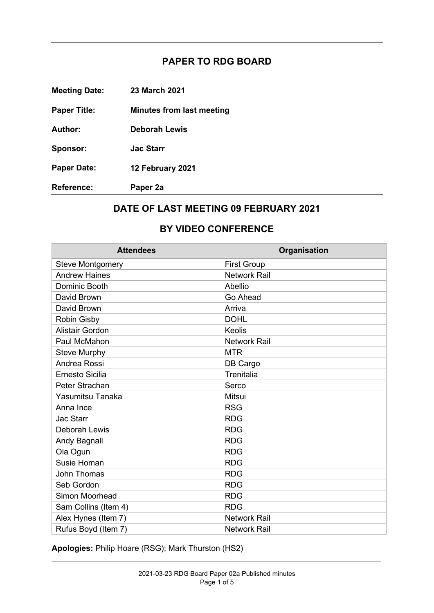## **PAPER TO RDG BOARD**

**Meeting Date: Paper Title: Author: Sponsor: Paper Date: Reference: 23 March 2021 Minutes from last meeting Deborah Lewis Jac Starr 12 February 2021 Paper 2a** 

## **DATE OF LAST MEETING 09 FEBRUARY 2021**

## **BY VIDEO CONFERENCE**

| <b>Attendees</b>        | Organisation        |
|-------------------------|---------------------|
| <b>Steve Montgomery</b> | <b>First Group</b>  |
| <b>Andrew Haines</b>    | <b>Network Rail</b> |
| Dominic Booth           | Abellio             |
| David Brown             | Go Ahead            |
| David Brown             | Arriva              |
| <b>Robin Gisby</b>      | <b>DOHL</b>         |
| <b>Alistair Gordon</b>  | Keolis              |
| Paul McMahon            | <b>Network Rail</b> |
| <b>Steve Murphy</b>     | <b>MTR</b>          |
| Andrea Rossi            | DB Cargo            |
| <b>Ernesto Sicilia</b>  | Trenitalia          |
| Peter Strachan          | Serco               |
| Yasumitsu Tanaka        | Mitsui              |
| Anna Ince               | <b>RSG</b>          |
| <b>Jac Starr</b>        | <b>RDG</b>          |
| <b>Deborah Lewis</b>    | <b>RDG</b>          |
| Andy Bagnall            | <b>RDG</b>          |
| Ola Ogun                | <b>RDG</b>          |
| <b>Susie Homan</b>      | <b>RDG</b>          |
| <b>John Thomas</b>      | <b>RDG</b>          |
| Seb Gordon              | <b>RDG</b>          |
| Simon Moorhead          | <b>RDG</b>          |
| Sam Collins (Item 4)    | <b>RDG</b>          |
| Alex Hynes (Item 7)     | <b>Network Rail</b> |
| Rufus Boyd (Item 7)     | Network Rail        |

**Apologies:** Philip Hoare (RSG); Mark Thurston (HS2)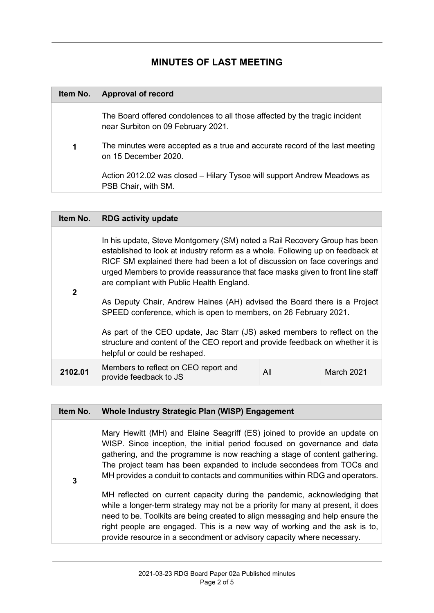## **MINUTES OF LAST MEETING**

| Item No. | <b>Approval of record</b>                                                                                        |
|----------|------------------------------------------------------------------------------------------------------------------|
|          | The Board offered condolences to all those affected by the tragic incident<br>near Surbiton on 09 February 2021. |
| 1        | The minutes were accepted as a true and accurate record of the last meeting<br>on 15 December 2020.              |
|          | Action 2012.02 was closed – Hilary Tysoe will support Andrew Meadows as<br>PSB Chair, with SM.                   |

| Item No.     | <b>RDG activity update</b>                                                                                                                                                                                                                                                                                                                                                                                                                           |     |            |
|--------------|------------------------------------------------------------------------------------------------------------------------------------------------------------------------------------------------------------------------------------------------------------------------------------------------------------------------------------------------------------------------------------------------------------------------------------------------------|-----|------------|
| $\mathbf{2}$ | In his update, Steve Montgomery (SM) noted a Rail Recovery Group has been<br>established to look at industry reform as a whole. Following up on feedback at<br>RICF SM explained there had been a lot of discussion on face coverings and<br>urged Members to provide reassurance that face masks given to front line staff<br>are compliant with Public Health England.<br>As Deputy Chair, Andrew Haines (AH) advised the Board there is a Project |     |            |
|              | SPEED conference, which is open to members, on 26 February 2021.                                                                                                                                                                                                                                                                                                                                                                                     |     |            |
|              | As part of the CEO update, Jac Starr (JS) asked members to reflect on the<br>structure and content of the CEO report and provide feedback on whether it is<br>helpful or could be reshaped.                                                                                                                                                                                                                                                          |     |            |
| 2102.01      | Members to reflect on CEO report and<br>provide feedback to JS                                                                                                                                                                                                                                                                                                                                                                                       | All | March 2021 |

| Item No. | Whole Industry Strategic Plan (WISP) Engagement                                                                                                                                                                                                                                                                                                                                                     |
|----------|-----------------------------------------------------------------------------------------------------------------------------------------------------------------------------------------------------------------------------------------------------------------------------------------------------------------------------------------------------------------------------------------------------|
| 3        | Mary Hewitt (MH) and Elaine Seagriff (ES) joined to provide an update on<br>WISP. Since inception, the initial period focused on governance and data<br>gathering, and the programme is now reaching a stage of content gathering.<br>The project team has been expanded to include secondees from TOCs and<br>MH provides a conduit to contacts and communities within RDG and operators.          |
|          | MH reflected on current capacity during the pandemic, acknowledging that<br>while a longer-term strategy may not be a priority for many at present, it does<br>need to be. Toolkits are being created to align messaging and help ensure the<br>right people are engaged. This is a new way of working and the ask is to,<br>provide resource in a secondment or advisory capacity where necessary. |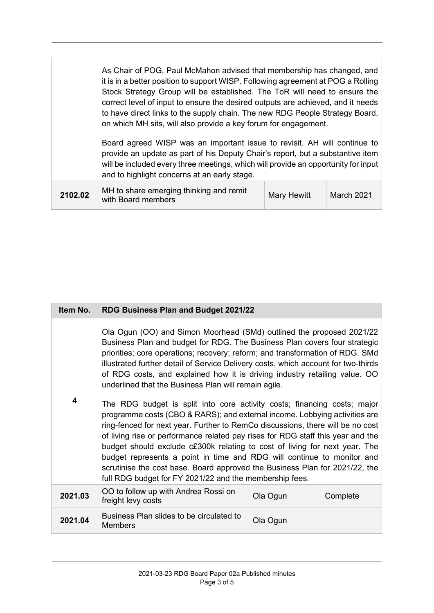| As Chair of POG, Paul McMahon advised that membership has changed, and<br>it is in a better position to support WISP. Following agreement at POG a Rolling<br>Stock Strategy Group will be established. The ToR will need to ensure the<br>correct level of input to ensure the desired outputs are achieved, and it needs<br>to have direct links to the supply chain. The new RDG People Strategy Board,<br>on which MH sits, will also provide a key forum for engagement.<br>Board agreed WISP was an important issue to revisit. AH will continue to<br>provide an update as part of his Deputy Chair's report, but a substantive item<br>will be included every three meetings, which will provide an opportunity for input<br>and to highlight concerns at an early stage. |  |
|-----------------------------------------------------------------------------------------------------------------------------------------------------------------------------------------------------------------------------------------------------------------------------------------------------------------------------------------------------------------------------------------------------------------------------------------------------------------------------------------------------------------------------------------------------------------------------------------------------------------------------------------------------------------------------------------------------------------------------------------------------------------------------------|--|
|                                                                                                                                                                                                                                                                                                                                                                                                                                                                                                                                                                                                                                                                                                                                                                                   |  |

| Item No. | RDG Business Plan and Budget 2021/22                                                                                                                                                                                                                                                                                                                                                                                                                                                                                                                                                                                                                                                                                                                                                                                                                                                                                                                                                                                                 |          |          |
|----------|--------------------------------------------------------------------------------------------------------------------------------------------------------------------------------------------------------------------------------------------------------------------------------------------------------------------------------------------------------------------------------------------------------------------------------------------------------------------------------------------------------------------------------------------------------------------------------------------------------------------------------------------------------------------------------------------------------------------------------------------------------------------------------------------------------------------------------------------------------------------------------------------------------------------------------------------------------------------------------------------------------------------------------------|----------|----------|
| 4        | Ola Ogun (OO) and Simon Moorhead (SMd) outlined the proposed 2021/22<br>Business Plan and budget for RDG. The Business Plan covers four strategic<br>priorities; core operations; recovery; reform; and transformation of RDG. SMd<br>illustrated further detail of Service Delivery costs, which account for two-thirds<br>of RDG costs, and explained how it is driving industry retailing value. OO<br>underlined that the Business Plan will remain agile.<br>The RDG budget is split into core activity costs; financing costs; major<br>programme costs (CBO & RARS); and external income. Lobbying activities are<br>ring-fenced for next year. Further to RemCo discussions, there will be no cost<br>of living rise or performance related pay rises for RDG staff this year and the<br>budget should exclude c£300k relating to cost of living for next year. The<br>budget represents a point in time and RDG will continue to monitor and<br>scrutinise the cost base. Board approved the Business Plan for 2021/22, the |          |          |
|          | full RDG budget for FY 2021/22 and the membership fees.                                                                                                                                                                                                                                                                                                                                                                                                                                                                                                                                                                                                                                                                                                                                                                                                                                                                                                                                                                              |          |          |
| 2021.03  | OO to follow up with Andrea Rossi on<br>freight levy costs                                                                                                                                                                                                                                                                                                                                                                                                                                                                                                                                                                                                                                                                                                                                                                                                                                                                                                                                                                           | Ola Ogun | Complete |
| 2021.04  | Business Plan slides to be circulated to<br><b>Members</b>                                                                                                                                                                                                                                                                                                                                                                                                                                                                                                                                                                                                                                                                                                                                                                                                                                                                                                                                                                           | Ola Ogun |          |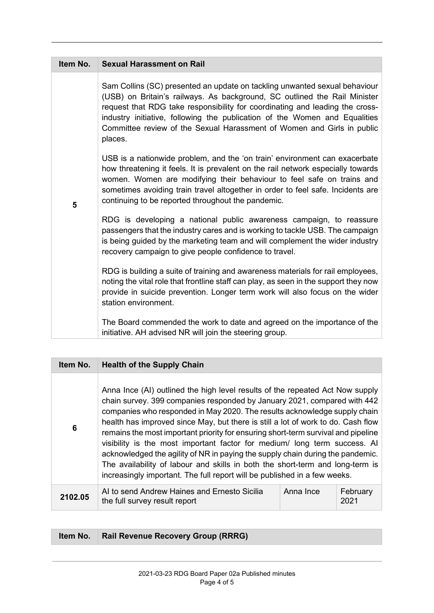| Item No. | <b>Sexual Harassment on Rail</b>                                                                                                                                                                                                                                                                                                                                                                           |
|----------|------------------------------------------------------------------------------------------------------------------------------------------------------------------------------------------------------------------------------------------------------------------------------------------------------------------------------------------------------------------------------------------------------------|
| 5        | Sam Collins (SC) presented an update on tackling unwanted sexual behaviour<br>(USB) on Britain's railways. As background, SC outlined the Rail Minister<br>request that RDG take responsibility for coordinating and leading the cross-<br>industry initiative, following the publication of the Women and Equalities<br>Committee review of the Sexual Harassment of Women and Girls in public<br>places. |
|          | USB is a nationwide problem, and the 'on train' environment can exacerbate<br>how threatening it feels. It is prevalent on the rail network especially towards<br>women. Women are modifying their behaviour to feel safe on trains and<br>sometimes avoiding train travel altogether in order to feel safe. Incidents are<br>continuing to be reported throughout the pandemic.                           |
|          | RDG is developing a national public awareness campaign, to reassure<br>passengers that the industry cares and is working to tackle USB. The campaign<br>is being guided by the marketing team and will complement the wider industry<br>recovery campaign to give people confidence to travel.                                                                                                             |
|          | RDG is building a suite of training and awareness materials for rail employees,<br>noting the vital role that frontline staff can play, as seen in the support they now<br>provide in suicide prevention. Longer term work will also focus on the wider<br>station environment.                                                                                                                            |
|          | The Board commended the work to date and agreed on the importance of the<br>initiative. AH advised NR will join the steering group.                                                                                                                                                                                                                                                                        |

| Item No.        | <b>Health of the Supply Chain</b>                                                                                                                                                                                                                                                                                                                                                                                                                                                                                                                                                                                                                                                                                                             |           |                  |
|-----------------|-----------------------------------------------------------------------------------------------------------------------------------------------------------------------------------------------------------------------------------------------------------------------------------------------------------------------------------------------------------------------------------------------------------------------------------------------------------------------------------------------------------------------------------------------------------------------------------------------------------------------------------------------------------------------------------------------------------------------------------------------|-----------|------------------|
| $6\phantom{1}6$ | Anna Ince (AI) outlined the high level results of the repeated Act Now supply<br>chain survey. 399 companies responded by January 2021, compared with 442<br>companies who responded in May 2020. The results acknowledge supply chain<br>health has improved since May, but there is still a lot of work to do. Cash flow<br>remains the most important priority for ensuring short-term survival and pipeline<br>visibility is the most important factor for medium/ long term success. All<br>acknowledged the agility of NR in paying the supply chain during the pandemic.<br>The availability of labour and skills in both the short-term and long-term is<br>increasingly important. The full report will be published in a few weeks. |           |                  |
| 2102.05         | AI to send Andrew Haines and Ernesto Sicilia<br>the full survey result report                                                                                                                                                                                                                                                                                                                                                                                                                                                                                                                                                                                                                                                                 | Anna Ince | February<br>2021 |

**Item No. Rail Revenue Recovery Group (RRRG)**